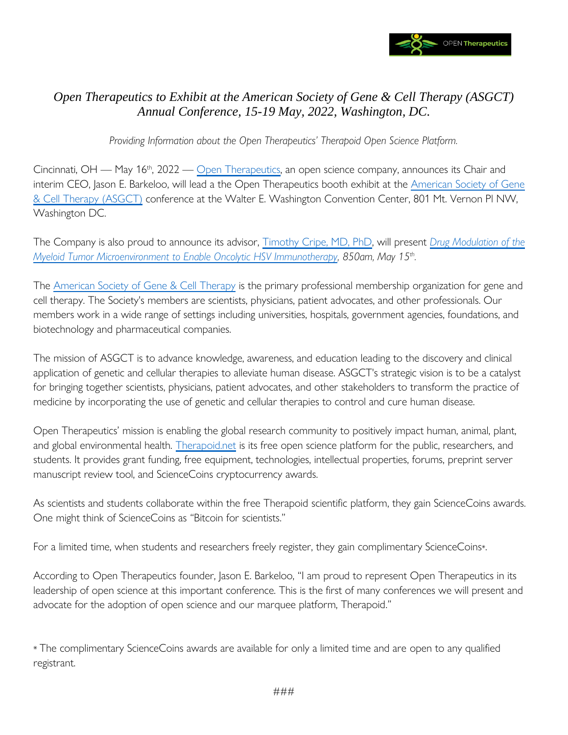

## *Open Therapeutics to Exhibit at the American Society of Gene & Cell Therapy (ASGCT) Annual Conference, 15-19 May, 2022, Washington, DC.*

*Providing Information about the Open Therapeutics' Therapoid Open Science Platform.*

Cincinnati, OH — May 16<sup>th</sup>, 2022 — [Open Therapeutics,](https://opentherapeutics.org/) an open science company, announces its Chair and interim CEO, Jason E. Barkeloo, will lead a the Open Therapeutics booth exhibit at the American [Society of Gene](https://annualmeeting.asgct.org/)  [& Cell Therapy \(ASGCT\)](https://annualmeeting.asgct.org/) conference at the Walter E. Washington Convention Center, 801 Mt. Vernon Pl NW, Washington DC.

The Company is also proud to announce its advisor, [Timothy Cripe, MD, PhD,](https://www.opentherapeutics.org/team-members/timothy-p-cripe-md-phd/) will present *[Drug Modulation of the](https://annualmeeting.asgct.org/program/pre-meeting-workshops/emerging-clinical-pre-clinical-approaches-to-oncol)  [Myeloid Tumor Microenvironment to Enable Oncolytic HSV Immunotherapy,](https://annualmeeting.asgct.org/program/pre-meeting-workshops/emerging-clinical-pre-clinical-approaches-to-oncol) 850am, May 15th .*

The [American Society of Gene & Cell Therapy](https://asgct.org/about/mission-vision) is the primary professional membership organization for gene and cell therapy. The Society's members are scientists, physicians, patient advocates, and other professionals. Our members work in a wide range of settings including universities, hospitals, government agencies, foundations, and biotechnology and pharmaceutical companies.

The mission of ASGCT is to advance knowledge, awareness, and education leading to the discovery and clinical application of genetic and cellular therapies to alleviate human disease. ASGCT's strategic vision is to be a catalyst for bringing together scientists, physicians, patient advocates, and other stakeholders to transform the practice of medicine by incorporating the use of genetic and cellular therapies to control and cure human disease.

Open Therapeutics' mission is enabling the global research community to positively impact human, animal, plant, and global environmental health. [Therapoid.net](https://therapoid.net/) is its free open science platform for the public, researchers, and students. It provides grant funding, free equipment, technologies, intellectual properties, forums, preprint server manuscript review tool, and ScienceCoins cryptocurrency awards.

As scientists and students collaborate within the free Therapoid scientific platform, they gain ScienceCoins awards. One might think of ScienceCoins as "Bitcoin for scientists."

For a limited time, when students and researchers freely register, they gain complimentary ScienceCoins\*.

According to Open Therapeutics founder, Jason E. Barkeloo, "I am proud to represent Open Therapeutics in its leadership of open science at this important conference. This is the first of many conferences we will present and advocate for the adoption of open science and our marquee platform, Therapoid."

\* The complimentary ScienceCoins awards are available for only a limited time and are open to any qualified registrant.